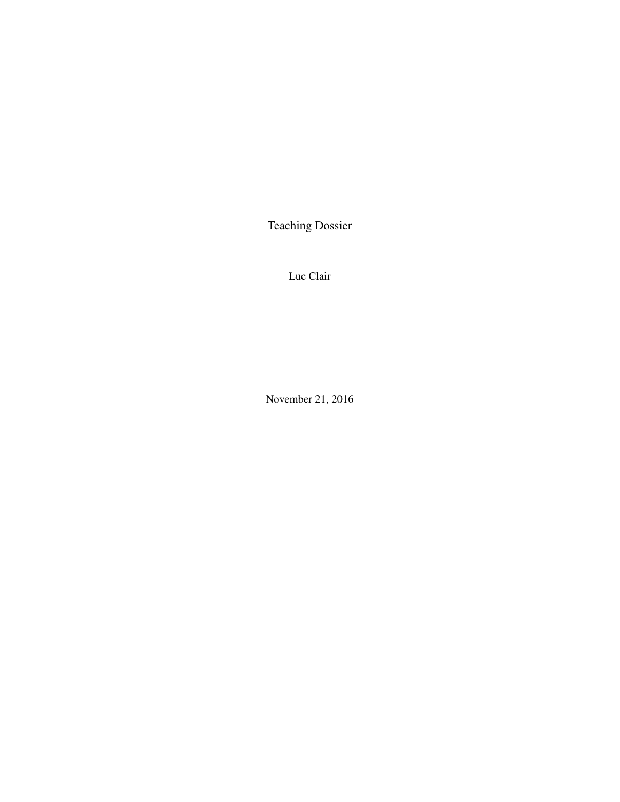Teaching Dossier

Luc Clair

November 21, 2016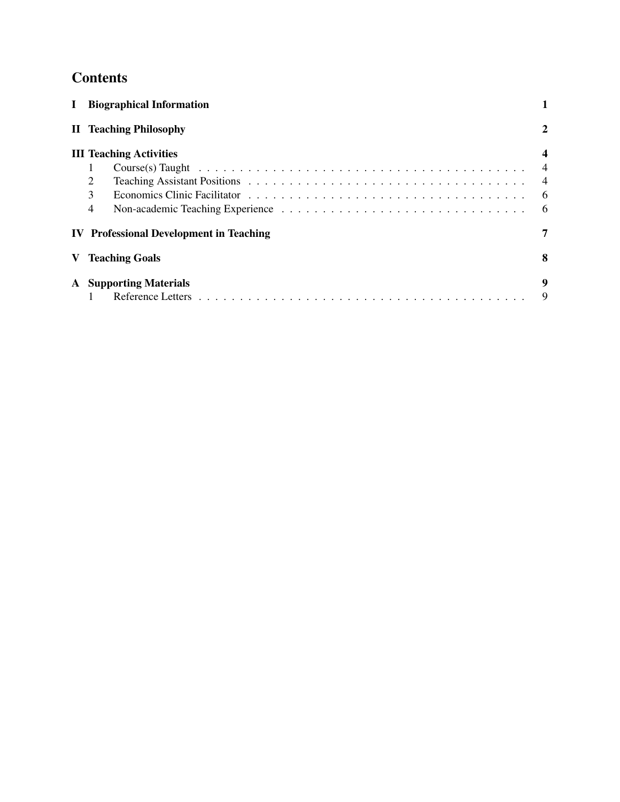# **Contents**

| $\mathbf I$ | <b>Biographical Information</b>                |                |
|-------------|------------------------------------------------|----------------|
|             | <b>II</b> Teaching Philosophy                  | 2              |
|             | <b>III Teaching Activities</b>                 |                |
|             |                                                |                |
|             | 2                                              | $\overline{4}$ |
|             | 3                                              | -6             |
|             | $\overline{4}$                                 | - 6            |
|             | <b>IV</b> Professional Development in Teaching |                |
|             | <b>Teaching Goals</b>                          | 8              |
| ${\bf A}$   | <b>Supporting Materials</b>                    | 9              |
|             |                                                | 9              |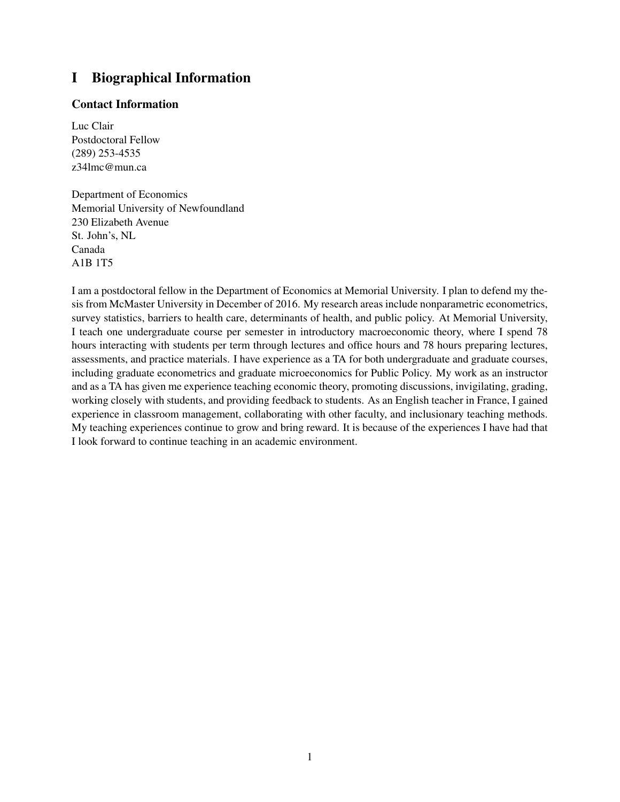# I Biographical Information

### Contact Information

Luc Clair Postdoctoral Fellow (289) 253-4535 z34lmc@mun.ca

Department of Economics Memorial University of Newfoundland 230 Elizabeth Avenue St. John's, NL Canada A1B 1T5

I am a postdoctoral fellow in the Department of Economics at Memorial University. I plan to defend my thesis from McMaster University in December of 2016. My research areas include nonparametric econometrics, survey statistics, barriers to health care, determinants of health, and public policy. At Memorial University, I teach one undergraduate course per semester in introductory macroeconomic theory, where I spend 78 hours interacting with students per term through lectures and office hours and 78 hours preparing lectures, assessments, and practice materials. I have experience as a TA for both undergraduate and graduate courses, including graduate econometrics and graduate microeconomics for Public Policy. My work as an instructor and as a TA has given me experience teaching economic theory, promoting discussions, invigilating, grading, working closely with students, and providing feedback to students. As an English teacher in France, I gained experience in classroom management, collaborating with other faculty, and inclusionary teaching methods. My teaching experiences continue to grow and bring reward. It is because of the experiences I have had that I look forward to continue teaching in an academic environment.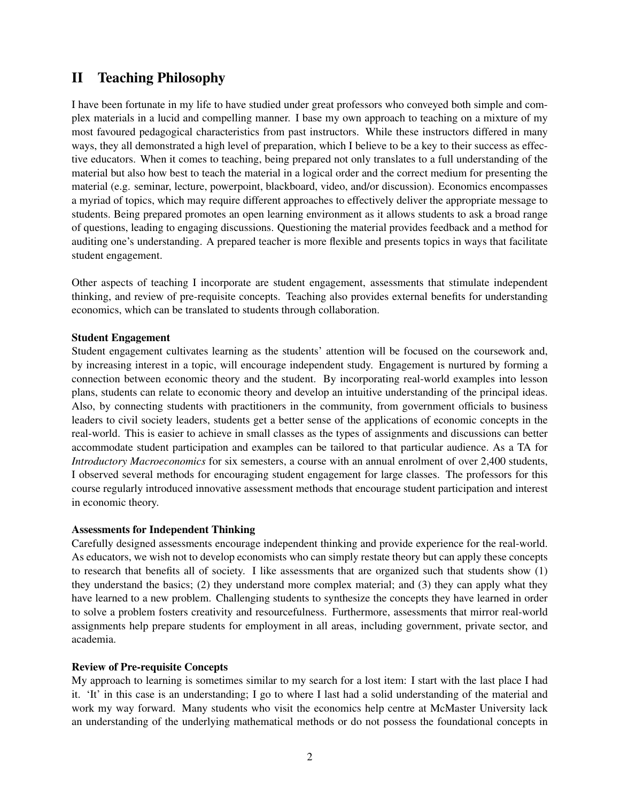# II Teaching Philosophy

I have been fortunate in my life to have studied under great professors who conveyed both simple and complex materials in a lucid and compelling manner. I base my own approach to teaching on a mixture of my most favoured pedagogical characteristics from past instructors. While these instructors differed in many ways, they all demonstrated a high level of preparation, which I believe to be a key to their success as effective educators. When it comes to teaching, being prepared not only translates to a full understanding of the material but also how best to teach the material in a logical order and the correct medium for presenting the material (e.g. seminar, lecture, powerpoint, blackboard, video, and/or discussion). Economics encompasses a myriad of topics, which may require different approaches to effectively deliver the appropriate message to students. Being prepared promotes an open learning environment as it allows students to ask a broad range of questions, leading to engaging discussions. Questioning the material provides feedback and a method for auditing one's understanding. A prepared teacher is more flexible and presents topics in ways that facilitate student engagement.

Other aspects of teaching I incorporate are student engagement, assessments that stimulate independent thinking, and review of pre-requisite concepts. Teaching also provides external benefits for understanding economics, which can be translated to students through collaboration.

#### Student Engagement

Student engagement cultivates learning as the students' attention will be focused on the coursework and, by increasing interest in a topic, will encourage independent study. Engagement is nurtured by forming a connection between economic theory and the student. By incorporating real-world examples into lesson plans, students can relate to economic theory and develop an intuitive understanding of the principal ideas. Also, by connecting students with practitioners in the community, from government officials to business leaders to civil society leaders, students get a better sense of the applications of economic concepts in the real-world. This is easier to achieve in small classes as the types of assignments and discussions can better accommodate student participation and examples can be tailored to that particular audience. As a TA for *Introductory Macroeconomics* for six semesters, a course with an annual enrolment of over 2,400 students, I observed several methods for encouraging student engagement for large classes. The professors for this course regularly introduced innovative assessment methods that encourage student participation and interest in economic theory.

#### Assessments for Independent Thinking

Carefully designed assessments encourage independent thinking and provide experience for the real-world. As educators, we wish not to develop economists who can simply restate theory but can apply these concepts to research that benefits all of society. I like assessments that are organized such that students show (1) they understand the basics; (2) they understand more complex material; and (3) they can apply what they have learned to a new problem. Challenging students to synthesize the concepts they have learned in order to solve a problem fosters creativity and resourcefulness. Furthermore, assessments that mirror real-world assignments help prepare students for employment in all areas, including government, private sector, and academia.

#### Review of Pre-requisite Concepts

My approach to learning is sometimes similar to my search for a lost item: I start with the last place I had it. 'It' in this case is an understanding; I go to where I last had a solid understanding of the material and work my way forward. Many students who visit the economics help centre at McMaster University lack an understanding of the underlying mathematical methods or do not possess the foundational concepts in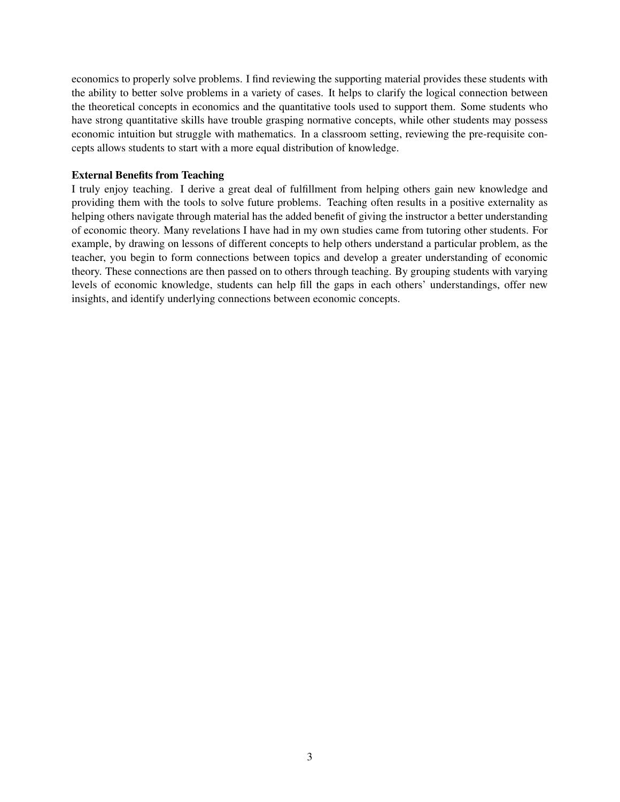economics to properly solve problems. I find reviewing the supporting material provides these students with the ability to better solve problems in a variety of cases. It helps to clarify the logical connection between the theoretical concepts in economics and the quantitative tools used to support them. Some students who have strong quantitative skills have trouble grasping normative concepts, while other students may possess economic intuition but struggle with mathematics. In a classroom setting, reviewing the pre-requisite concepts allows students to start with a more equal distribution of knowledge.

#### External Benefits from Teaching

I truly enjoy teaching. I derive a great deal of fulfillment from helping others gain new knowledge and providing them with the tools to solve future problems. Teaching often results in a positive externality as helping others navigate through material has the added benefit of giving the instructor a better understanding of economic theory. Many revelations I have had in my own studies came from tutoring other students. For example, by drawing on lessons of different concepts to help others understand a particular problem, as the teacher, you begin to form connections between topics and develop a greater understanding of economic theory. These connections are then passed on to others through teaching. By grouping students with varying levels of economic knowledge, students can help fill the gaps in each others' understandings, offer new insights, and identify underlying connections between economic concepts.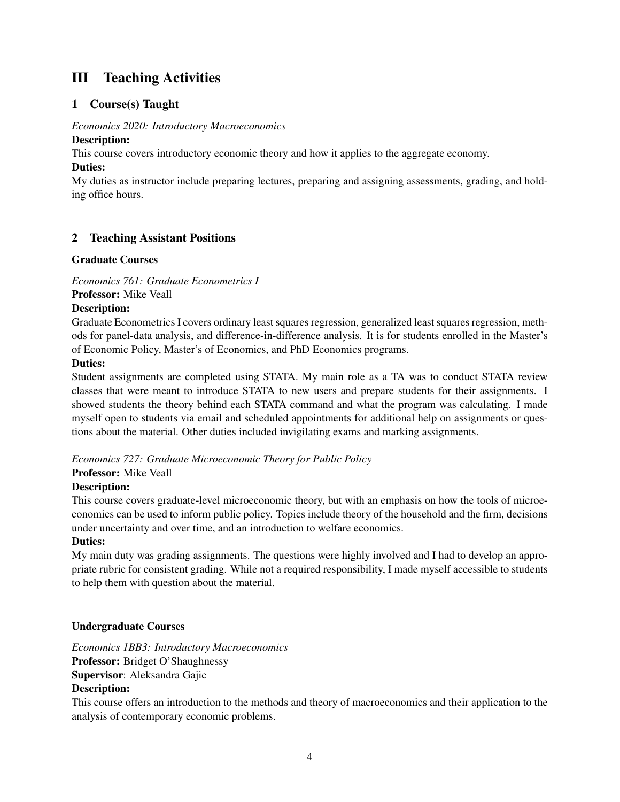# III Teaching Activities

# 1 Course(s) Taught

# *Economics 2020: Introductory Macroeconomics*

# Description:

This course covers introductory economic theory and how it applies to the aggregate economy.

#### Duties:

My duties as instructor include preparing lectures, preparing and assigning assessments, grading, and holding office hours.

## 2 Teaching Assistant Positions

#### Graduate Courses

*Economics 761: Graduate Econometrics I* Professor: Mike Veall

#### Description:

Graduate Econometrics I covers ordinary least squares regression, generalized least squares regression, methods for panel-data analysis, and difference-in-difference analysis. It is for students enrolled in the Master's of Economic Policy, Master's of Economics, and PhD Economics programs.

#### Duties:

Student assignments are completed using STATA. My main role as a TA was to conduct STATA review classes that were meant to introduce STATA to new users and prepare students for their assignments. I showed students the theory behind each STATA command and what the program was calculating. I made myself open to students via email and scheduled appointments for additional help on assignments or questions about the material. Other duties included invigilating exams and marking assignments.

#### *Economics 727: Graduate Microeconomic Theory for Public Policy*

#### Professor: Mike Veall

#### Description:

This course covers graduate-level microeconomic theory, but with an emphasis on how the tools of microeconomics can be used to inform public policy. Topics include theory of the household and the firm, decisions under uncertainty and over time, and an introduction to welfare economics.

## Duties:

My main duty was grading assignments. The questions were highly involved and I had to develop an appropriate rubric for consistent grading. While not a required responsibility, I made myself accessible to students to help them with question about the material.

## Undergraduate Courses

*Economics 1BB3: Introductory Macroeconomics* Professor: Bridget O'Shaughnessy Supervisor: Aleksandra Gajic Description:

This course offers an introduction to the methods and theory of macroeconomics and their application to the analysis of contemporary economic problems.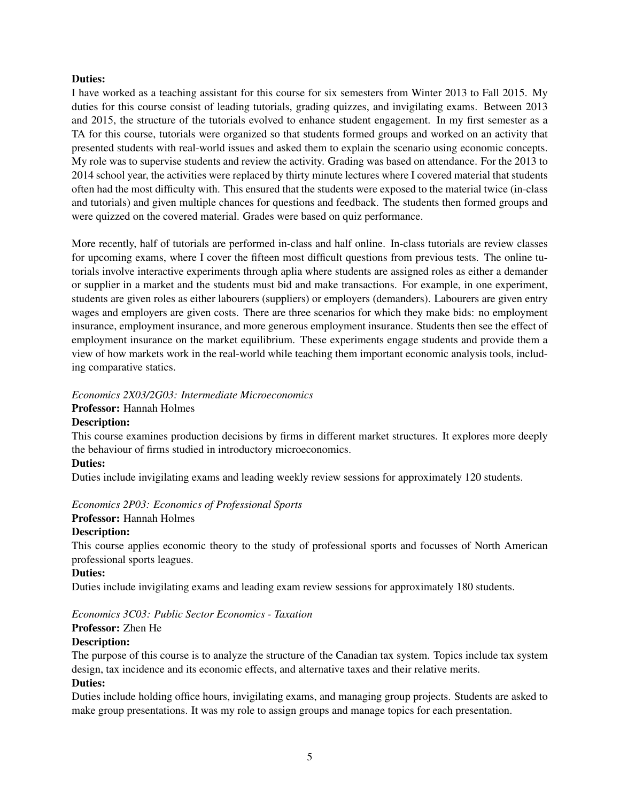#### Duties:

I have worked as a teaching assistant for this course for six semesters from Winter 2013 to Fall 2015. My duties for this course consist of leading tutorials, grading quizzes, and invigilating exams. Between 2013 and 2015, the structure of the tutorials evolved to enhance student engagement. In my first semester as a TA for this course, tutorials were organized so that students formed groups and worked on an activity that presented students with real-world issues and asked them to explain the scenario using economic concepts. My role was to supervise students and review the activity. Grading was based on attendance. For the 2013 to 2014 school year, the activities were replaced by thirty minute lectures where I covered material that students often had the most difficulty with. This ensured that the students were exposed to the material twice (in-class and tutorials) and given multiple chances for questions and feedback. The students then formed groups and were quizzed on the covered material. Grades were based on quiz performance.

More recently, half of tutorials are performed in-class and half online. In-class tutorials are review classes for upcoming exams, where I cover the fifteen most difficult questions from previous tests. The online tutorials involve interactive experiments through aplia where students are assigned roles as either a demander or supplier in a market and the students must bid and make transactions. For example, in one experiment, students are given roles as either labourers (suppliers) or employers (demanders). Labourers are given entry wages and employers are given costs. There are three scenarios for which they make bids: no employment insurance, employment insurance, and more generous employment insurance. Students then see the effect of employment insurance on the market equilibrium. These experiments engage students and provide them a view of how markets work in the real-world while teaching them important economic analysis tools, including comparative statics.

# *Economics 2X03/2G03: Intermediate Microeconomics*

## Professor: Hannah Holmes

#### Description:

This course examines production decisions by firms in different market structures. It explores more deeply the behaviour of firms studied in introductory microeconomics.

#### Duties:

Duties include invigilating exams and leading weekly review sessions for approximately 120 students.

#### *Economics 2P03: Economics of Professional Sports*

## Professor: Hannah Holmes

#### Description:

This course applies economic theory to the study of professional sports and focusses of North American professional sports leagues.

#### Duties:

Duties include invigilating exams and leading exam review sessions for approximately 180 students.

### *Economics 3C03: Public Sector Economics - Taxation*

#### Professor: Zhen He

#### Description:

The purpose of this course is to analyze the structure of the Canadian tax system. Topics include tax system design, tax incidence and its economic effects, and alternative taxes and their relative merits.

#### Duties:

Duties include holding office hours, invigilating exams, and managing group projects. Students are asked to make group presentations. It was my role to assign groups and manage topics for each presentation.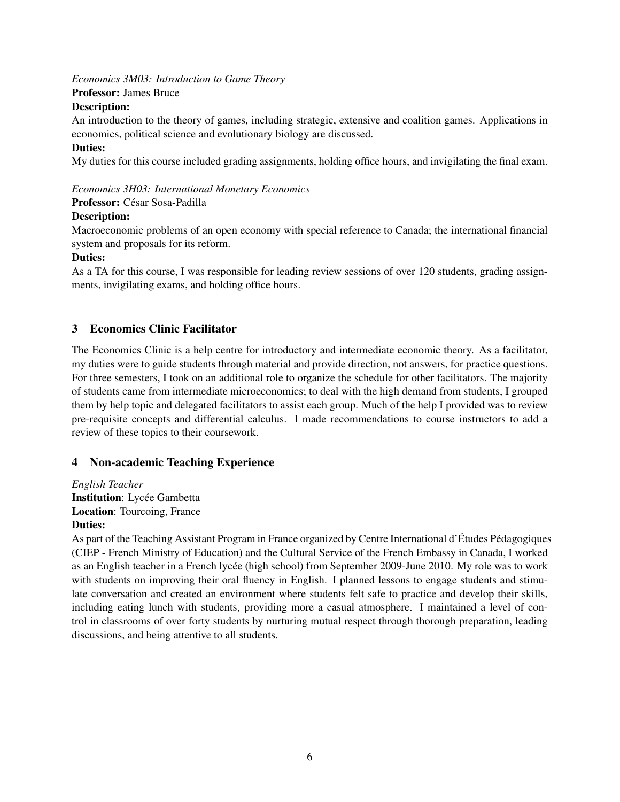*Economics 3M03: Introduction to Game Theory*

Professor: James Bruce

#### Description:

An introduction to the theory of games, including strategic, extensive and coalition games. Applications in economics, political science and evolutionary biology are discussed.

#### Duties:

My duties for this course included grading assignments, holding office hours, and invigilating the final exam.

#### *Economics 3H03: International Monetary Economics*

Professor: César Sosa-Padilla

#### Description:

Macroeconomic problems of an open economy with special reference to Canada; the international financial system and proposals for its reform.

#### Duties:

As a TA for this course, I was responsible for leading review sessions of over 120 students, grading assignments, invigilating exams, and holding office hours.

# 3 Economics Clinic Facilitator

The Economics Clinic is a help centre for introductory and intermediate economic theory. As a facilitator, my duties were to guide students through material and provide direction, not answers, for practice questions. For three semesters, I took on an additional role to organize the schedule for other facilitators. The majority of students came from intermediate microeconomics; to deal with the high demand from students, I grouped them by help topic and delegated facilitators to assist each group. Much of the help I provided was to review pre-requisite concepts and differential calculus. I made recommendations to course instructors to add a review of these topics to their coursework.

## 4 Non-academic Teaching Experience

*English Teacher* **Institution**: Lycée Gambetta Location: Tourcoing, France Duties:

As part of the Teaching Assistant Program in France organized by Centre International d'Études Pédagogiques (CIEP - French Ministry of Education) and the Cultural Service of the French Embassy in Canada, I worked as an English teacher in a French lycée (high school) from September 2009-June 2010. My role was to work with students on improving their oral fluency in English. I planned lessons to engage students and stimulate conversation and created an environment where students felt safe to practice and develop their skills, including eating lunch with students, providing more a casual atmosphere. I maintained a level of control in classrooms of over forty students by nurturing mutual respect through thorough preparation, leading discussions, and being attentive to all students.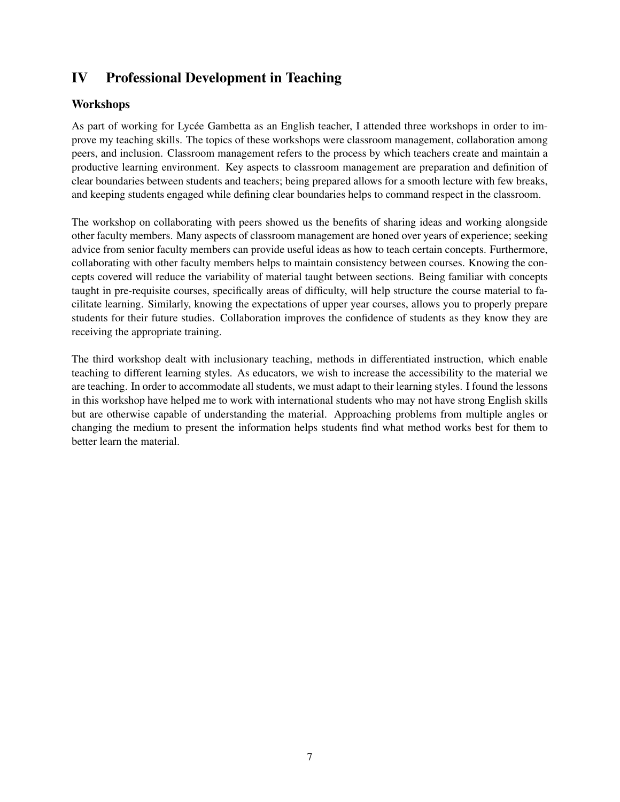# IV Professional Development in Teaching

# Workshops

As part of working for Lycée Gambetta as an English teacher, I attended three workshops in order to improve my teaching skills. The topics of these workshops were classroom management, collaboration among peers, and inclusion. Classroom management refers to the process by which teachers create and maintain a productive learning environment. Key aspects to classroom management are preparation and definition of clear boundaries between students and teachers; being prepared allows for a smooth lecture with few breaks, and keeping students engaged while defining clear boundaries helps to command respect in the classroom.

The workshop on collaborating with peers showed us the benefits of sharing ideas and working alongside other faculty members. Many aspects of classroom management are honed over years of experience; seeking advice from senior faculty members can provide useful ideas as how to teach certain concepts. Furthermore, collaborating with other faculty members helps to maintain consistency between courses. Knowing the concepts covered will reduce the variability of material taught between sections. Being familiar with concepts taught in pre-requisite courses, specifically areas of difficulty, will help structure the course material to facilitate learning. Similarly, knowing the expectations of upper year courses, allows you to properly prepare students for their future studies. Collaboration improves the confidence of students as they know they are receiving the appropriate training.

The third workshop dealt with inclusionary teaching, methods in differentiated instruction, which enable teaching to different learning styles. As educators, we wish to increase the accessibility to the material we are teaching. In order to accommodate all students, we must adapt to their learning styles. I found the lessons in this workshop have helped me to work with international students who may not have strong English skills but are otherwise capable of understanding the material. Approaching problems from multiple angles or changing the medium to present the information helps students find what method works best for them to better learn the material.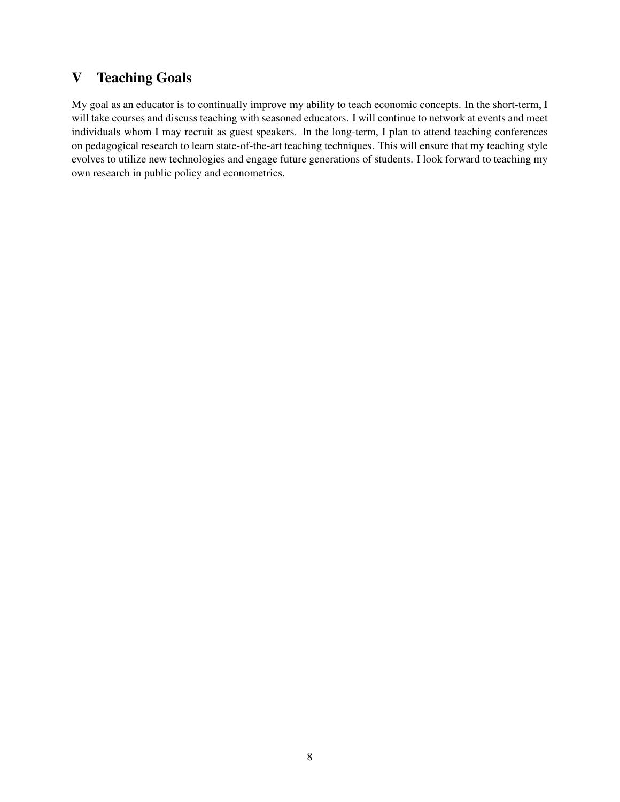# V Teaching Goals

My goal as an educator is to continually improve my ability to teach economic concepts. In the short-term, I will take courses and discuss teaching with seasoned educators. I will continue to network at events and meet individuals whom I may recruit as guest speakers. In the long-term, I plan to attend teaching conferences on pedagogical research to learn state-of-the-art teaching techniques. This will ensure that my teaching style evolves to utilize new technologies and engage future generations of students. I look forward to teaching my own research in public policy and econometrics.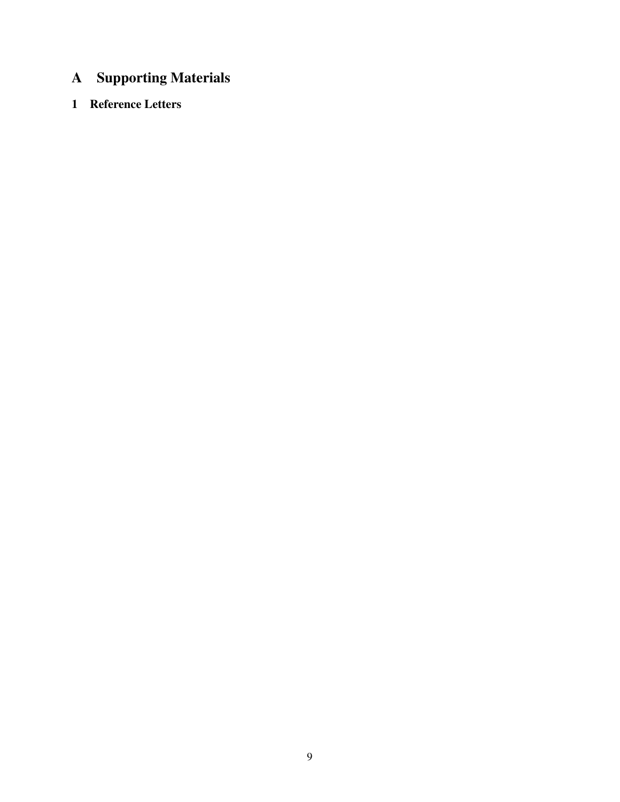# A Supporting Materials

# 1 Reference Letters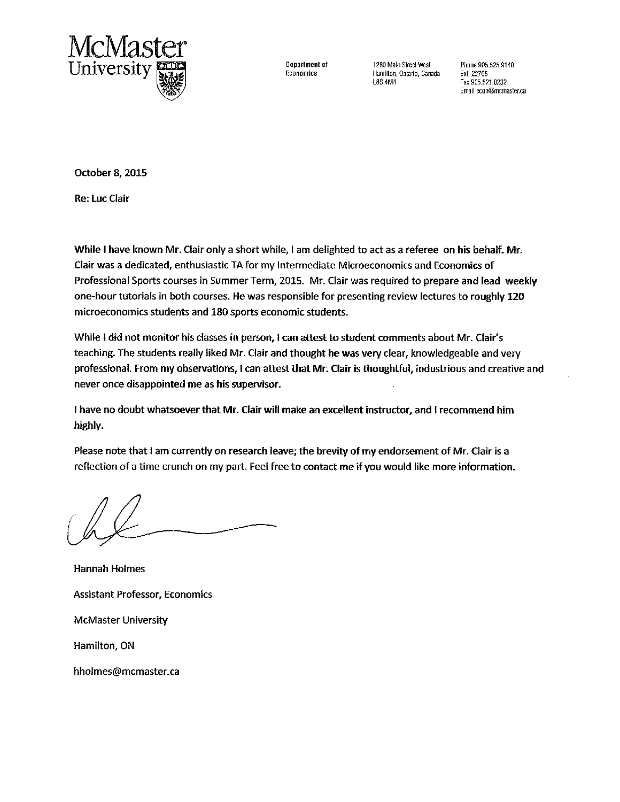

Department of Economics

1280 Main Street West Hamilton, Ontario, Canada **L8S 4M4** 

Phone 905.525.9140 Fxt. 22765 Fax 905.521.8232 Email econ@mcmaster.ca

October 8, 2015

**Re: Luc Clair** 

While I have known Mr. Clair only a short while, I am delighted to act as a referee on his behalf. Mr. Clair was a dedicated, enthusiastic TA for my Intermediate Microeconomics and Economics of Professional Sports courses in Summer Term, 2015. Mr. Clair was required to prepare and lead weekly one-hour tutorials in both courses. He was responsible for presenting review lectures to roughly 120 microeconomics students and 180 sports economic students.

While I did not monitor his classes in person, I can attest to student comments about Mr. Clair's teaching. The students really liked Mr. Clair and thought he was very clear, knowledgeable and very professional. From my observations, I can attest that Mr. Clair is thoughtful, industrious and creative and never once disappointed me as his supervisor.

I have no doubt whatsoever that Mr. Clair will make an excellent instructor, and I recommend him highly.

Please note that I am currently on research leave; the brevity of my endorsement of Mr. Clair is a reflection of a time crunch on my part. Feel free to contact me if you would like more information.

**Hannah Holmes Assistant Professor, Economics McMaster University** Hamilton, ON hholmes@mcmaster.ca